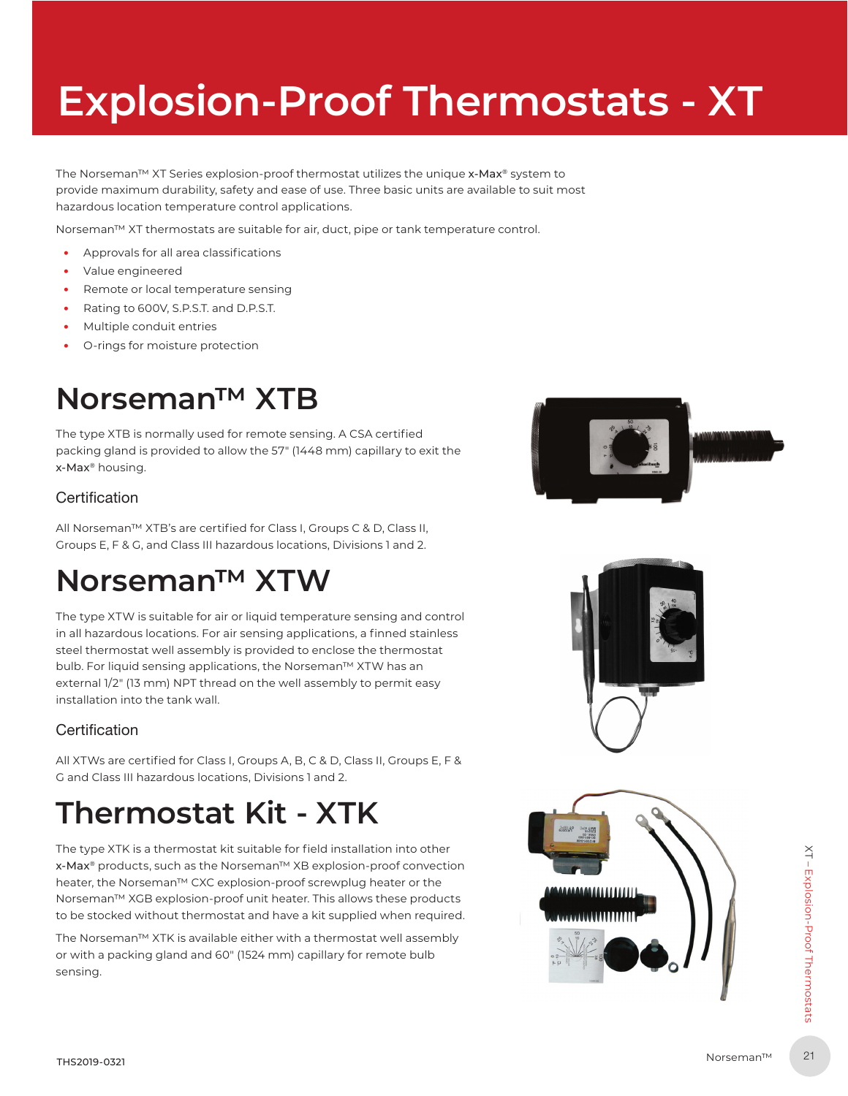# **Explosion-Proof Thermostats - XT**

The Norseman™ XT Series explosion-proof thermostat utilizes the unique x-Max® system to provide maximum durability, safety and ease of use. Three basic units are available to suit most hazardous location temperature control applications.

Norseman™ XT thermostats are suitable for air, duct, pipe or tank temperature control.

- ࢞ Approvals for all area classifications
- ࢞ Value engineered
- Remote or local temperature sensing
- Rating to 600V, S.P.S.T. and D.P.S.T.
- ࢞ Multiple conduit entries
- ࢞ O-rings for moisture protection

### **Norseman™ XTB**

The type XTB is normally used for remote sensing. A CSA certified packing gland is provided to allow the 57" (1448 mm) capillary to exit the x-Max® housing.

### **Certification**

All Norseman™ XTB's are certified for Class I, Groups C & D, Class II, Groups E, F & G, and Class III hazardous locations, Divisions 1 and 2.

### **Norseman™ XTW**

The type XTW is suitable for air or liquid temperature sensing and control in all hazardous locations. For air sensing applications, a finned stainless steel thermostat well assembly is provided to enclose the thermostat bulb. For liquid sensing applications, the Norseman™ XTW has an external 1/2" (13 mm) NPT thread on the well assembly to permit easy installation into the tank wall.

### **Certification**

All XTWs are certified for Class I, Groups A, B, C & D, Class II, Groups E, F & G and Class III hazardous locations, Divisions 1 and 2.

## **Thermostat Kit - XTK**

The type XTK is a thermostat kit suitable for field installation into other x-Max® products, such as the Norseman™ XB explosion-proof convection heater, the Norseman™ CXC explosion-proof screwplug heater or the Norseman™ XGB explosion-proof unit heater. This allows these products to be stocked without thermostat and have a kit supplied when required.

The Norseman™ XTK is available either with a thermostat well assembly or with a packing gland and 60" (1524 mm) capillary for remote bulb sensing.